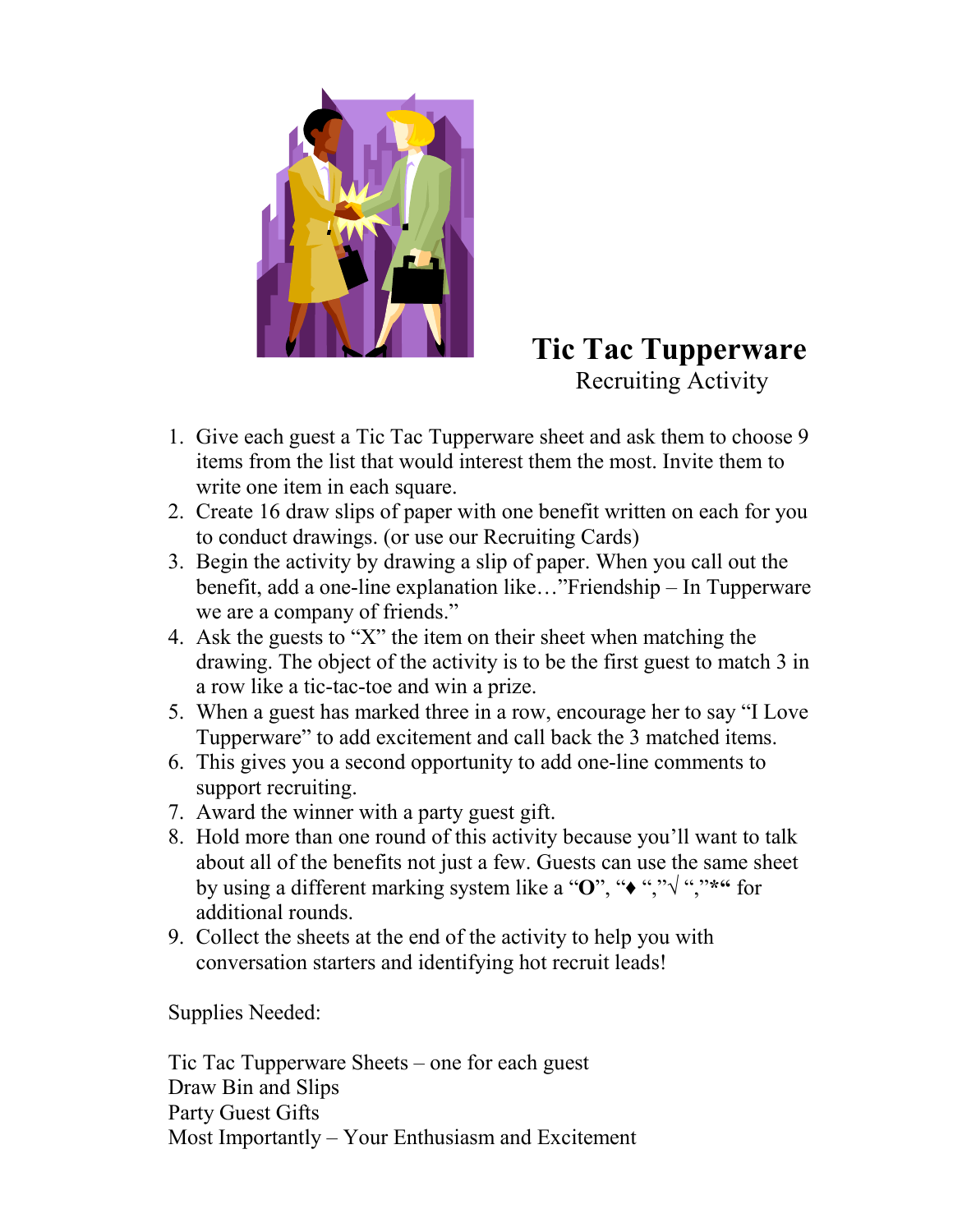

## **Tic Tac Tupperware**  Recruiting Activity

- 1. Give each guest a Tic Tac Tupperware sheet and ask them to choose 9 items from the list that would interest them the most. Invite them to write one item in each square.
- 2. Create 16 draw slips of paper with one benefit written on each for you to conduct drawings. (or use our Recruiting Cards)
- 3. Begin the activity by drawing a slip of paper. When you call out the benefit, add a one-line explanation like..."Friendship – In Tupperware we are a company of friends."
- 4. Ask the guests to  $X^{\prime}$  the item on their sheet when matching the drawing. The object of the activity is to be the first guest to match 3 in a row like a tic-tac-toe and win a prize.
- 5. When a guest has marked three in a row, encourage her to say "I Love Tupperware" to add excitement and call back the 3 matched items.
- 6. This gives you a second opportunity to add one-line comments to support recruiting.
- 7. Award the winner with a party guest gift.
- 8. Hold more than one round of this activity because you'll want to talk about all of the benefits not just a few. Guests can use the same sheet by using a different marking system like a "O", "◆ ","  $\sqrt{\frac{1}{n}}$ ,  $\frac{1}{n}$ \*\*\*\* for additional rounds.
- 9. Collect the sheets at the end of the activity to help you with conversation starters and identifying hot recruit leads!

Supplies Needed:

Tic Tac Tupperware Sheets  $-$  one for each guest Draw Bin and Slips Party Guest Gifts Most Importantly  $-$  Your Enthusiasm and Excitement